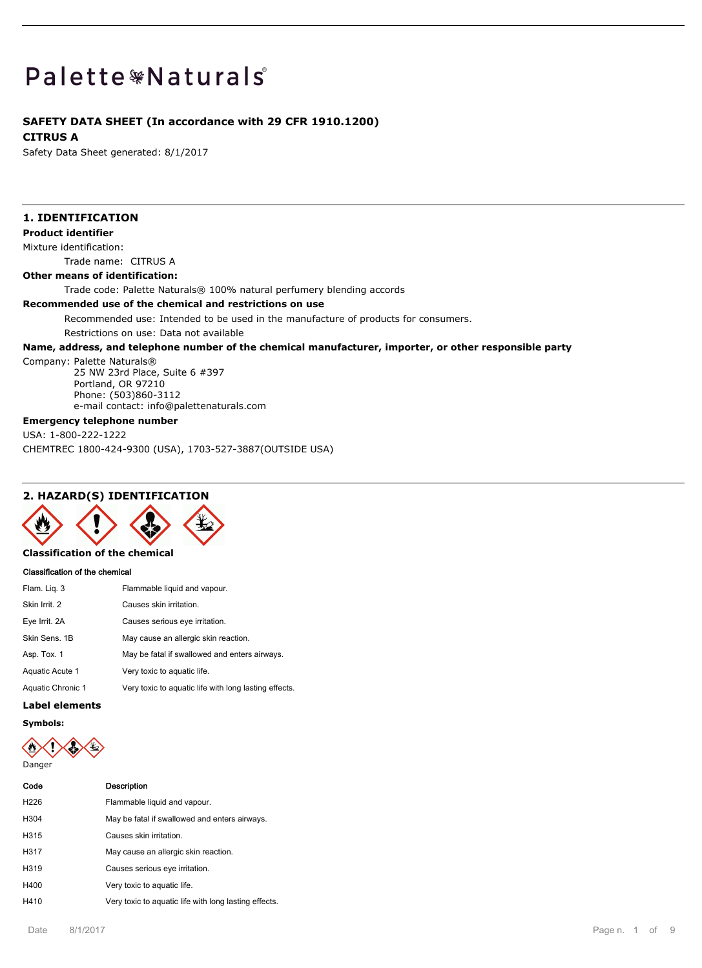# Palette \*Naturals

# **SAFETY DATA SHEET (In accordance with 29 CFR 1910.1200)**

#### **CITRUS A**

Safety Data Sheet generated: 8/1/2017

# **1. IDENTIFICATION**

#### **Product identifier**

Mixture identification:

Trade name: CITRUS A

# **Other means of identification:**

Trade code: Palette Naturals® 100% natural perfumery blending accords

## **Recommended use of the chemical and restrictions on use**

Recommended use: Intended to be used in the manufacture of products for consumers.

Restrictions on use: Data not available

## **Name, address, and telephone number of the chemical manufacturer, importer, or other responsible party**

#### Company: Palette Naturals®

25 NW 23rd Place, Suite 6 #397 Portland, OR 97210 Phone: (503)860-3112 e-mail contact: info@palettenaturals.com

# **Emergency telephone number**

USA: 1-800-222-1222

CHEMTREC 1800-424-9300 (USA), 1703-527-3887(OUTSIDE USA)

# **2. HAZARD(S) IDENTIFICATION**



# **Classification of the chemical**

#### **Classification of the chemical**

| Flam. Lig. 3      | Flammable liquid and vapour.                          |
|-------------------|-------------------------------------------------------|
| Skin Irrit. 2     | Causes skin irritation.                               |
| Eye Irrit. 2A     | Causes serious eye irritation.                        |
| Skin Sens, 1B     | May cause an allergic skin reaction.                  |
| Asp. Tox. 1       | May be fatal if swallowed and enters airways.         |
| Aquatic Acute 1   | Very toxic to aquatic life.                           |
| Aquatic Chronic 1 | Very toxic to aquatic life with long lasting effects. |

#### **Label elements**

**Symbols:**

Danger

| Code             | Description                                           |
|------------------|-------------------------------------------------------|
| H <sub>226</sub> | Flammable liquid and vapour.                          |
| H304             | May be fatal if swallowed and enters airways.         |
| H315             | Causes skin irritation.                               |
| H317             | May cause an allergic skin reaction.                  |
| H319             | Causes serious eye irritation.                        |
| H400             | Very toxic to aquatic life.                           |
| H410             | Very toxic to aquatic life with long lasting effects. |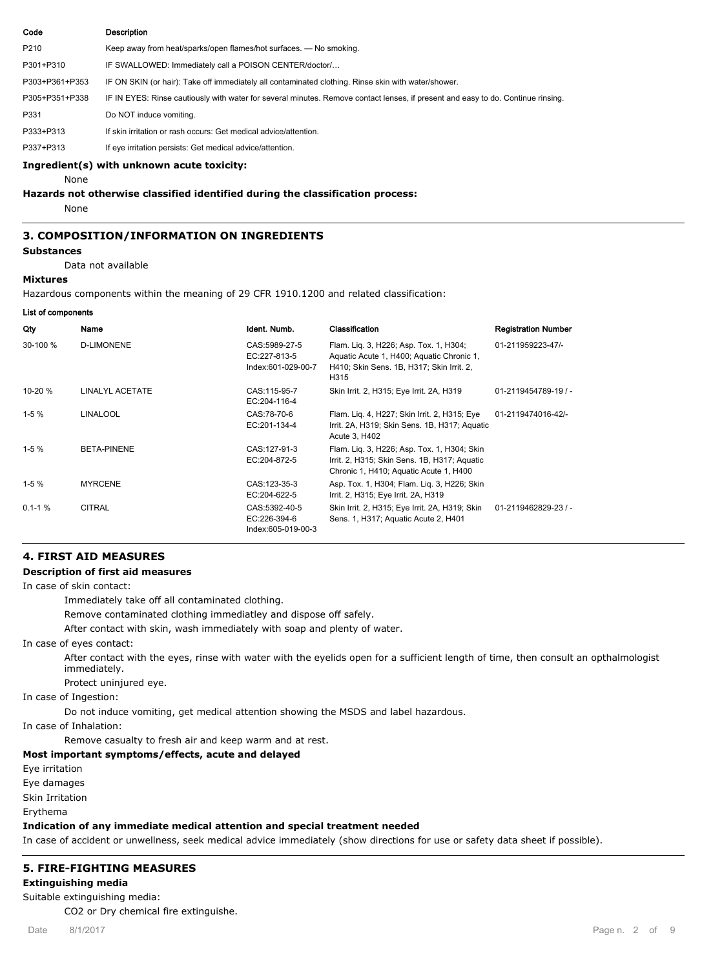| Code           | <b>Description</b>                                                                                                               |
|----------------|----------------------------------------------------------------------------------------------------------------------------------|
| P210           | Keep away from heat/sparks/open flames/hot surfaces. — No smoking.                                                               |
| P301+P310      | IF SWALLOWED: Immediately call a POISON CENTER/doctor/                                                                           |
| P303+P361+P353 | IF ON SKIN (or hair): Take off immediately all contaminated clothing. Rinse skin with water/shower.                              |
| P305+P351+P338 | IF IN EYES: Rinse cautiously with water for several minutes. Remove contact lenses, if present and easy to do. Continue rinsing. |
| P331           | Do NOT induce vomiting.                                                                                                          |
| P333+P313      | If skin irritation or rash occurs: Get medical advice/attention.                                                                 |
| P337+P313      | If eye irritation persists: Get medical advice/attention.                                                                        |

#### **Ingredient(s) with unknown acute toxicity:**

None

# **Hazards not otherwise classified identified during the classification process:**

None

# **3. COMPOSITION/INFORMATION ON INGREDIENTS**

#### **Substances**

Data not available

#### **Mixtures**

Hazardous components within the meaning of 29 CFR 1910.1200 and related classification:

**List of components**

| Qty        | Name               | Ident. Numb.                                        | Classification                                                                                                                           | <b>Registration Number</b> |
|------------|--------------------|-----------------------------------------------------|------------------------------------------------------------------------------------------------------------------------------------------|----------------------------|
| 30-100 %   | <b>D-LIMONENE</b>  | CAS:5989-27-5<br>EC:227-813-5<br>Index:601-029-00-7 | Flam. Lig. 3, H226; Asp. Tox. 1, H304;<br>Aquatic Acute 1, H400; Aquatic Chronic 1,<br>H410; Skin Sens. 1B, H317; Skin Irrit. 2,<br>H315 | 01-211959223-47/-          |
| 10-20 %    | LINALYL ACETATE    | CAS:115-95-7<br>EC:204-116-4                        | Skin Irrit. 2, H315; Eye Irrit. 2A, H319                                                                                                 | 01-2119454789-19 / -       |
| $1-5%$     | <b>LINALOOL</b>    | CAS:78-70-6<br>EC:201-134-4                         | Flam. Lig. 4, H227; Skin Irrit. 2, H315; Eye<br>Irrit. 2A, H319; Skin Sens. 1B, H317; Aguatic<br>Acute 3, H402                           | 01-2119474016-42/-         |
| $1-5%$     | <b>BETA-PINENE</b> | CAS: 127-91-3<br>EC:204-872-5                       | Flam. Lig. 3, H226; Asp. Tox. 1, H304; Skin<br>Irrit. 2, H315; Skin Sens. 1B, H317; Aquatic<br>Chronic 1, H410; Aquatic Acute 1, H400    |                            |
| $1-5%$     | <b>MYRCENE</b>     | CAS: 123-35-3<br>EC:204-622-5                       | Asp. Tox. 1, H304; Flam. Lig. 3, H226; Skin<br>Irrit. 2, H315; Eye Irrit. 2A, H319                                                       |                            |
| $0.1 - 1%$ | <b>CITRAL</b>      | CAS:5392-40-5<br>EC:226-394-6<br>Index:605-019-00-3 | Skin Irrit. 2, H315; Eye Irrit. 2A, H319; Skin<br>Sens. 1, H317; Aquatic Acute 2, H401                                                   | 01-2119462829-23 / -       |

# **4. FIRST AID MEASURES**

# **Description of first aid measures**

In case of skin contact:

Immediately take off all contaminated clothing.

Remove contaminated clothing immediatley and dispose off safely.

After contact with skin, wash immediately with soap and plenty of water.

In case of eyes contact:

After contact with the eyes, rinse with water with the eyelids open for a sufficient length of time, then consult an opthalmologist immediately.

Protect uninjured eye.

In case of Ingestion:

Do not induce vomiting, get medical attention showing the MSDS and label hazardous.

In case of Inhalation:

Remove casualty to fresh air and keep warm and at rest.

#### **Most important symptoms/effects, acute and delayed**

Eye irritation

Eye damages

Skin Irritation

Erythema

#### **Indication of any immediate medical attention and special treatment needed**

In case of accident or unwellness, seek medical advice immediately (show directions for use or safety data sheet if possible).

# **5. FIRE-FIGHTING MEASURES**

**Extinguishing media**

Suitable extinguishing media:

CO2 or Dry chemical fire extinguishe.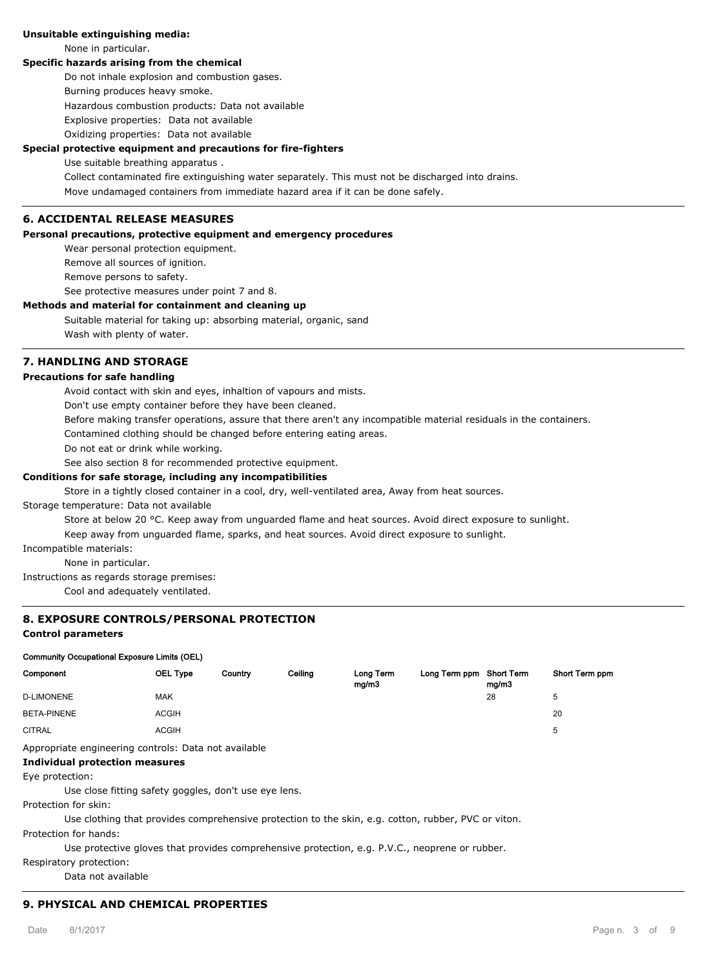## **Unsuitable extinguishing media:**

None in particular.

## **Specific hazards arising from the chemical**

Do not inhale explosion and combustion gases.

Burning produces heavy smoke.

Hazardous combustion products: Data not available

Explosive properties: Data not available

Oxidizing properties: Data not available

## **Special protective equipment and precautions for fire-fighters**

#### Use suitable breathing apparatus .

Collect contaminated fire extinguishing water separately. This must not be discharged into drains. Move undamaged containers from immediate hazard area if it can be done safely.

# **6. ACCIDENTAL RELEASE MEASURES**

#### **Personal precautions, protective equipment and emergency procedures**

Wear personal protection equipment.

Remove all sources of ignition.

Remove persons to safety.

See protective measures under point 7 and 8.

#### **Methods and material for containment and cleaning up**

Suitable material for taking up: absorbing material, organic, sand Wash with plenty of water.

# **7. HANDLING AND STORAGE**

#### **Precautions for safe handling**

Avoid contact with skin and eyes, inhaltion of vapours and mists.

Don't use empty container before they have been cleaned.

Before making transfer operations, assure that there aren't any incompatible material residuals in the containers.

Contamined clothing should be changed before entering eating areas.

Do not eat or drink while working.

See also section 8 for recommended protective equipment.

#### **Conditions for safe storage, including any incompatibilities**

Store in a tightly closed container in a cool, dry, well-ventilated area, Away from heat sources.

#### Storage temperature: Data not available

Store at below 20 °C. Keep away from unguarded flame and heat sources. Avoid direct exposure to sunlight.

Keep away from unguarded flame, sparks, and heat sources. Avoid direct exposure to sunlight.

Incompatible materials:

None in particular.

Instructions as regards storage premises:

Cool and adequately ventilated.

## **8. EXPOSURE CONTROLS/PERSONAL PROTECTION**

# **Control parameters**

#### **Community Occupational Exposure Limits (OEL)**

| Component                                                         | <b>OEL Type</b> | Country | Ceiling | Long Term<br>mg/m3 | Long Term ppm Short Term | mg/m3 | Short Term ppm |
|-------------------------------------------------------------------|-----------------|---------|---------|--------------------|--------------------------|-------|----------------|
| <b>D-LIMONENE</b>                                                 | MAK             |         |         |                    |                          | 28    | 5              |
| BETA-PINENE                                                       | <b>ACGIH</b>    |         |         |                    |                          |       | 20             |
| <b>CITRAL</b>                                                     | <b>ACGIH</b>    |         |         |                    |                          |       | 5              |
| Appropriate engineering controls: Data not available<br>_ _ _ _ _ |                 |         |         |                    |                          |       |                |

# **Individual protection measures**

Eye protection:

Use close fitting safety goggles, don't use eye lens.

Protection for skin:

Use clothing that provides comprehensive protection to the skin, e.g. cotton, rubber, PVC or viton.

Protection for hands:

Use protective gloves that provides comprehensive protection, e.g. P.V.C., neoprene or rubber.

Respiratory protection:

Data not available

# **9. PHYSICAL AND CHEMICAL PROPERTIES**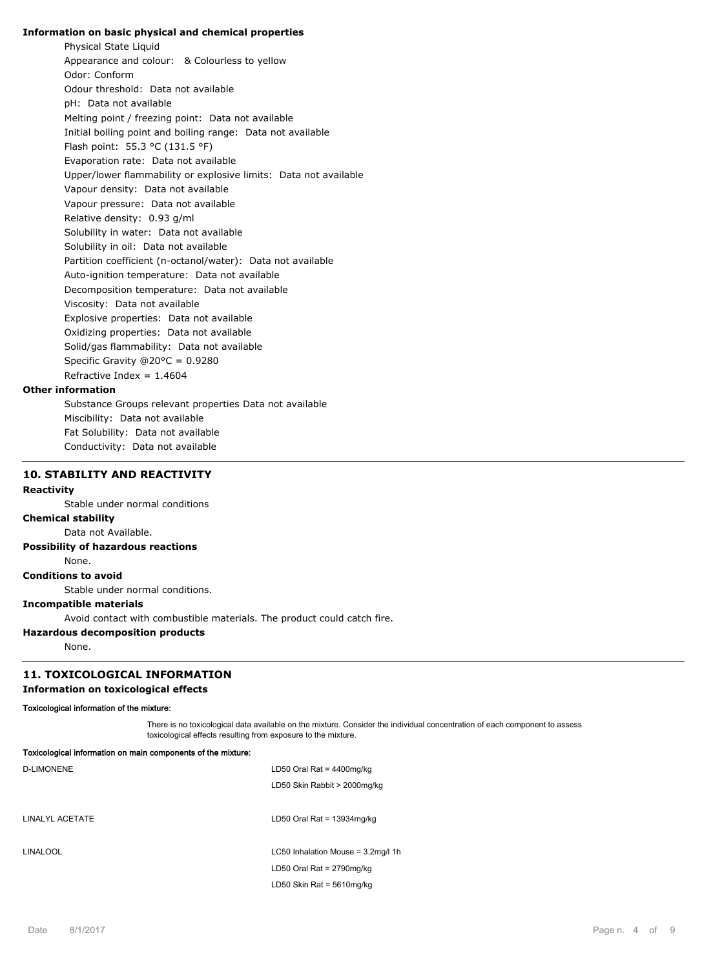#### **Information on basic physical and chemical properties**

Physical State Liquid Appearance and colour: & Colourless to yellow Odor: Conform Odour threshold: Data not available pH: Data not available Melting point / freezing point: Data not available Initial boiling point and boiling range: Data not available Flash point: 55.3 °C (131.5 °F) Evaporation rate: Data not available Upper/lower flammability or explosive limits: Data not available Vapour density: Data not available Vapour pressure: Data not available Relative density: 0.93 g/ml Solubility in water: Data not available Solubility in oil: Data not available Partition coefficient (n-octanol/water): Data not available Auto-ignition temperature: Data not available Decomposition temperature: Data not available Viscosity: Data not available Explosive properties: Data not available Oxidizing properties: Data not available Solid/gas flammability: Data not available Specific Gravity @20°C = 0.9280 Refractive Index =  $1.4604$ 

#### **Other information**

Substance Groups relevant properties Data not available Miscibility: Data not available Fat Solubility: Data not available Conductivity: Data not available

## **10. STABILITY AND REACTIVITY**

## **Reactivity**

Stable under normal conditions

**Chemical stability**

Data not Available.

# **Possibility of hazardous reactions**

None.

**Conditions to avoid**

Stable under normal conditions.

# **Incompatible materials**

Avoid contact with combustible materials. The product could catch fire.

# **Hazardous decomposition products**

None.

# **11. TOXICOLOGICAL INFORMATION**

## **Information on toxicological effects**

#### **Toxicological information of the mixture:**

There is no toxicological data available on the mixture. Consider the individual concentration of each component to assess toxicological effects resulting from exposure to the mixture.

| Toxicological information on main components of the mixture: |                                    |  |
|--------------------------------------------------------------|------------------------------------|--|
| <b>D-LIMONENE</b>                                            | LD50 Oral Rat = $4400$ mg/kg       |  |
|                                                              | LD50 Skin Rabbit > 2000mg/kg       |  |
|                                                              |                                    |  |
| LINALYL ACETATE                                              | LD50 Oral Rat = $13934$ mg/kg      |  |
|                                                              |                                    |  |
| <b>LINALOOL</b>                                              | LC50 Inhalation Mouse = 3.2mg/l 1h |  |
|                                                              | LD50 Oral Rat = $2790$ mg/kg       |  |
|                                                              | LD50 Skin Rat = $5610$ mg/kg       |  |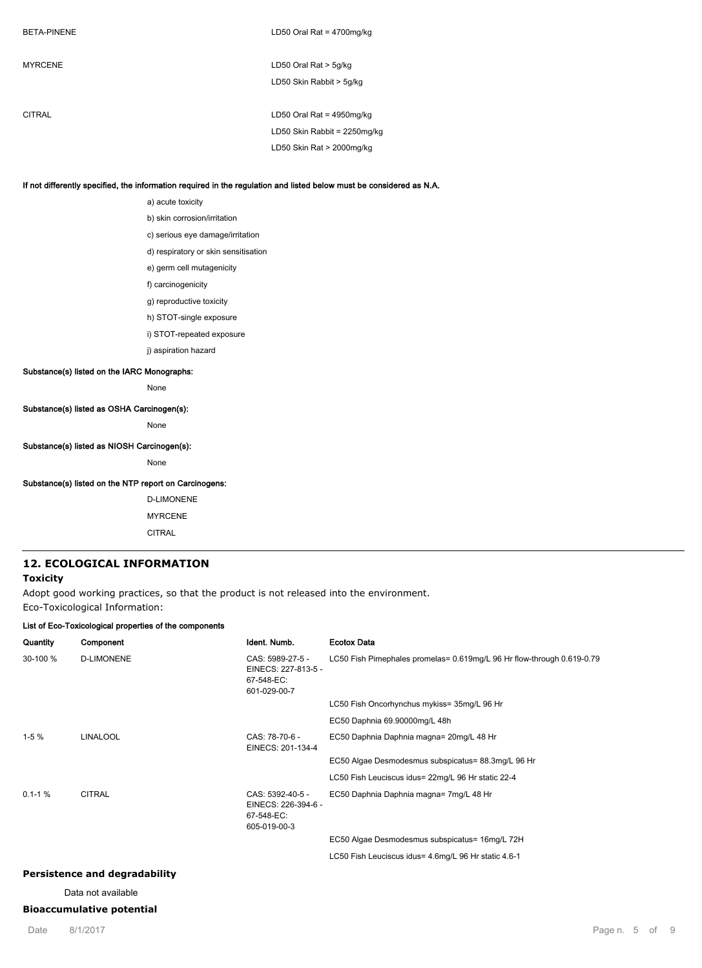| <b>MYRCENE</b> | LD50 Oral Rat $>$ 5g/kg      |
|----------------|------------------------------|
|                | LD50 Skin Rabbit > 5g/kg     |
|                |                              |
| CITRAL         | LD50 Oral Rat = $4950$ mg/kg |
|                | LD50 Skin Rabbit = 2250mg/kg |
|                | LD50 Skin Rat > 2000mg/kg    |
|                |                              |

### **If not differently specified, the information required in the regulation and listed below must be considered as N.A.**

a) acute toxicity b) skin corrosion/irritation c) serious eye damage/irritation d) respiratory or skin sensitisation e) germ cell mutagenicity f) carcinogenicity g) reproductive toxicity h) STOT-single exposure i) STOT-repeated exposure j) aspiration hazard **Substance(s) listed on the IARC Monographs:** None **Substance(s) listed as OSHA Carcinogen(s):** None

### **Substance(s) listed as NIOSH Carcinogen(s):**

None

### **Substance(s) listed on the NTP report on Carcinogens:**

D-LIMONENE MYRCENE CITRAL

### **12. ECOLOGICAL INFORMATION**

## **Toxicity**

Adopt good working practices, so that the product is not released into the environment. Eco-Toxicological Information:

## **List of Eco-Toxicological properties of the components**

| Quantity     | Component         | Ident. Numb.                                                          | <b>Ecotox Data</b>                                                     |
|--------------|-------------------|-----------------------------------------------------------------------|------------------------------------------------------------------------|
| 30-100 %     | <b>D-LIMONENE</b> | CAS: 5989-27-5 -<br>EINECS: 227-813-5 -<br>67-548-EC:<br>601-029-00-7 | LC50 Fish Pimephales promelas= 0.619mg/L 96 Hr flow-through 0.619-0.79 |
|              |                   |                                                                       | LC50 Fish Oncorhynchus mykiss= 35mg/L 96 Hr                            |
|              |                   |                                                                       | EC50 Daphnia 69.90000mg/L 48h                                          |
| $1-5%$       | <b>LINALOOL</b>   | CAS: 78-70-6 -<br>EINECS: 201-134-4                                   | EC50 Daphnia Daphnia magna= 20mg/L 48 Hr                               |
|              |                   |                                                                       | EC50 Algae Desmodesmus subspicatus= 88.3mg/L 96 Hr                     |
|              |                   |                                                                       | LC50 Fish Leuciscus idus= 22mg/L 96 Hr static 22-4                     |
| $0.1 - 1 \%$ | <b>CITRAL</b>     | CAS: 5392-40-5 -<br>EINECS: 226-394-6 -<br>67-548-EC:<br>605-019-00-3 | EC50 Daphnia Daphnia magna= 7mg/L 48 Hr                                |
|              |                   |                                                                       | EC50 Algae Desmodesmus subspicatus= 16mg/L 72H                         |
|              |                   |                                                                       | LC50 Fish Leuciscus idus= 4.6mg/L 96 Hr static 4.6-1                   |
|              |                   |                                                                       |                                                                        |

# **Persistence and degradability**

Data not available

## **Bioaccumulative potential**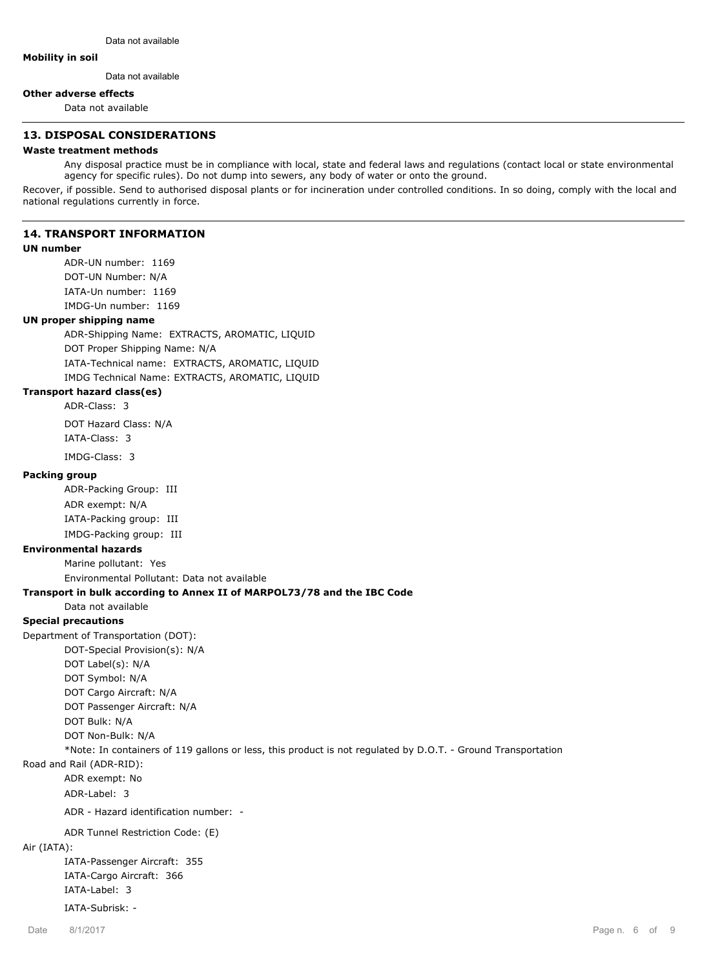#### **Mobility in soil**

Data not available

#### **Other adverse effects**

Data not available

## **13. DISPOSAL CONSIDERATIONS**

# **Waste treatment methods**

Any disposal practice must be in compliance with local, state and federal laws and regulations (contact local or state environmental agency for specific rules). Do not dump into sewers, any body of water or onto the ground.

Recover, if possible. Send to authorised disposal plants or for incineration under controlled conditions. In so doing, comply with the local and national regulations currently in force.

# **14. TRANSPORT INFORMATION**

## **UN number**

ADR-UN number: 1169 DOT-UN Number: N/A IATA-Un number: 1169 IMDG-Un number: 1169

# **UN proper shipping name**

ADR-Shipping Name: EXTRACTS, AROMATIC, LIQUID DOT Proper Shipping Name: N/A IATA-Technical name: EXTRACTS, AROMATIC, LIQUID IMDG Technical Name: EXTRACTS, AROMATIC, LIQUID

# **Transport hazard class(es)**

ADR-Class: 3 DOT Hazard Class: N/A IATA-Class: 3 IMDG-Class: 3

#### **Packing group**

ADR-Packing Group: III ADR exempt: N/A IATA-Packing group: III IMDG-Packing group: III

# **Environmental hazards**

Marine pollutant: Yes

Environmental Pollutant: Data not available

## **Transport in bulk according to Annex II of MARPOL73/78 and the IBC Code**

Data not available

# **Special precautions**

Department of Transportation (DOT):

DOT-Special Provision(s): N/A DOT Label(s): N/A DOT Symbol: N/A DOT Cargo Aircraft: N/A DOT Passenger Aircraft: N/A DOT Bulk: N/A DOT Non-Bulk: N/A

## \*Note: In containers of 119 gallons or less, this product is not regulated by D.O.T. - Ground Transportation

Road and Rail (ADR-RID):

ADR exempt: No

ADR-Label: 3

ADR - Hazard identification number: -

ADR Tunnel Restriction Code: (E)

# Air (IATA):

IATA-Passenger Aircraft: 355 IATA-Cargo Aircraft: 366 IATA-Label: 3

IATA-Subrisk: -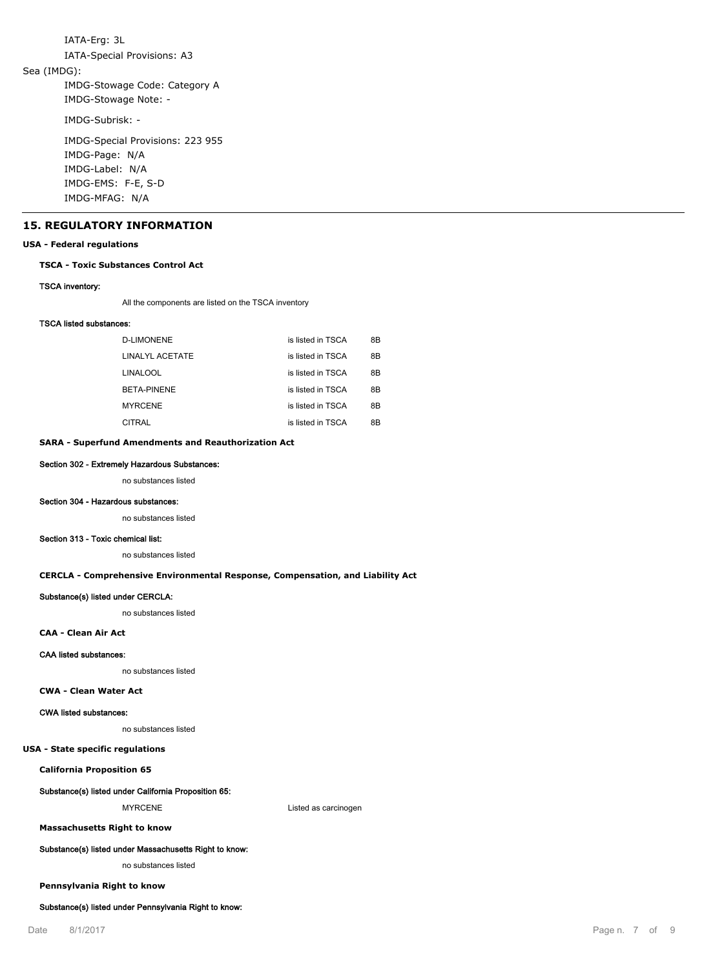IATA-Erg: 3L IATA-Special Provisions: A3 Sea (IMDG): IMDG-Stowage Code: Category A IMDG-Stowage Note: - IMDG-Subrisk: - IMDG-Special Provisions: 223 955 IMDG-Page: N/A IMDG-Label: N/A IMDG-EMS: F-E, S-D

#### **15. REGULATORY INFORMATION**

IMDG-MFAG: N/A

#### **USA - Federal regulations**

#### **TSCA - Toxic Substances Control Act**

#### **TSCA inventory:**

All the components are listed on the TSCA inventory

#### **TSCA listed substances:**

| D-LIMONENE         | is listed in TSCA | 8Β |
|--------------------|-------------------|----|
| LINALYL ACETATE    | is listed in TSCA | 8Β |
| LINALOOL           | is listed in TSCA | 8Β |
| <b>BETA-PINENE</b> | is listed in TSCA | 8Β |
| <b>MYRCENE</b>     | is listed in TSCA | 8Β |
| CITRAI             | is listed in TSCA | 8B |

#### **SARA - Superfund Amendments and Reauthorization Act**

#### **Section 302 - Extremely Hazardous Substances:**

no substances listed

#### **Section 304 - Hazardous substances:**

no substances listed

#### **Section 313 - Toxic chemical list:**

no substances listed

#### **CERCLA - Comprehensive Environmental Response, Compensation, and Liability Act**

### **Substance(s) listed under CERCLA:**

no substances listed

#### **CAA - Clean Air Act**

#### **CAA listed substances:**

no substances listed

#### **CWA - Clean Water Act**

#### **CWA listed substances:**

no substances listed

#### **USA - State specific regulations**

**California Proposition 65**

#### **Substance(s) listed under California Proposition 65:**

MYRCENE Listed as carcinogen

**Massachusetts Right to know**

### **Substance(s) listed under Massachusetts Right to know:**

no substances listed

#### **Pennsylvania Right to know**

#### **Substance(s) listed under Pennsylvania Right to know:**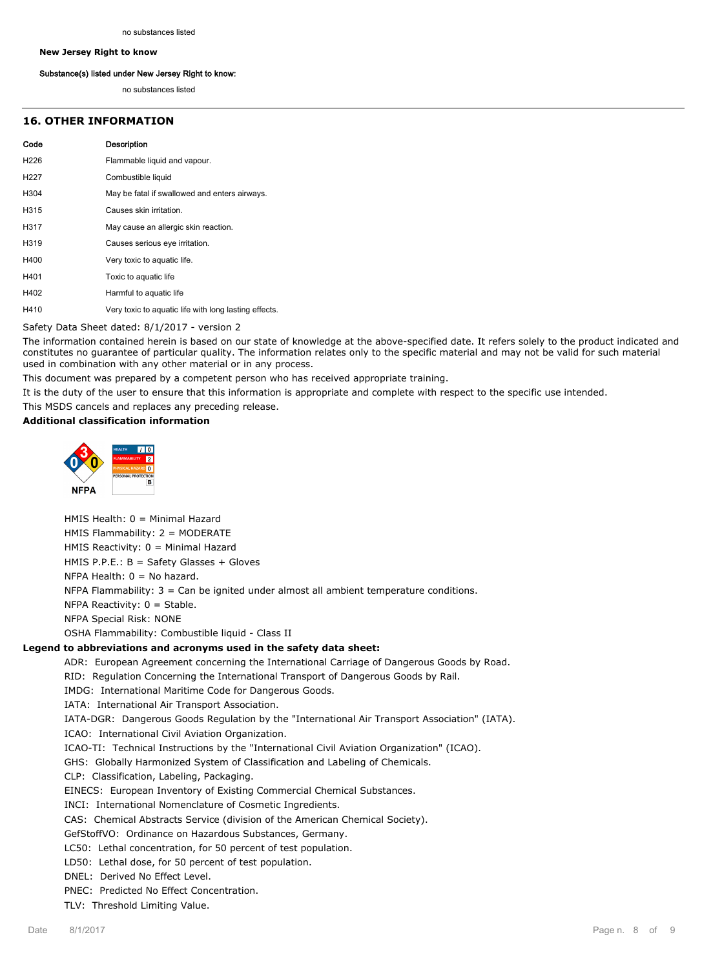#### **New Jersey Right to know**

#### **Substance(s) listed under New Jersey Right to know:**

no substances listed

# **16. OTHER INFORMATION**

| Code              | <b>Description</b>                                    |
|-------------------|-------------------------------------------------------|
| H <sub>226</sub>  | Flammable liquid and vapour.                          |
| H <sub>22</sub> 7 | Combustible liquid                                    |
| H304              | May be fatal if swallowed and enters airways.         |
| H315              | Causes skin irritation.                               |
| H317              | May cause an allergic skin reaction.                  |
| H319              | Causes serious eye irritation.                        |
| H400              | Very toxic to aquatic life.                           |
| H401              | Toxic to aquatic life                                 |
| H402              | Harmful to aquatic life                               |
| H410              | Very toxic to aquatic life with long lasting effects. |

Safety Data Sheet dated: 8/1/2017 - version 2

The information contained herein is based on our state of knowledge at the above-specified date. It refers solely to the product indicated and constitutes no guarantee of particular quality. The information relates only to the specific material and may not be valid for such material used in combination with any other material or in any process.

This document was prepared by a competent person who has received appropriate training.

It is the duty of the user to ensure that this information is appropriate and complete with respect to the specific use intended.

This MSDS cancels and replaces any preceding release.

HMIS Health: 0 = Minimal Hazard

# **Additional classification information**



HMIS Flammability: 2 = MODERATE HMIS Reactivity: 0 = Minimal Hazard HMIS P.P.E.: B = Safety Glasses + Gloves NFPA Health:  $0 = No$  hazard. NFPA Flammability: 3 = Can be ignited under almost all ambient temperature conditions. NFPA Reactivity:  $0 =$  Stable. NFPA Special Risk: NONE OSHA Flammability: Combustible liquid - Class II

#### **Legend to abbreviations and acronyms used in the safety data sheet:**

ADR: European Agreement concerning the International Carriage of Dangerous Goods by Road.

RID: Regulation Concerning the International Transport of Dangerous Goods by Rail.

IMDG: International Maritime Code for Dangerous Goods.

IATA: International Air Transport Association.

IATA-DGR: Dangerous Goods Regulation by the "International Air Transport Association" (IATA).

ICAO: International Civil Aviation Organization.

ICAO-TI: Technical Instructions by the "International Civil Aviation Organization" (ICAO).

GHS: Globally Harmonized System of Classification and Labeling of Chemicals.

CLP: Classification, Labeling, Packaging.

EINECS: European Inventory of Existing Commercial Chemical Substances.

INCI: International Nomenclature of Cosmetic Ingredients.

CAS: Chemical Abstracts Service (division of the American Chemical Society).

GefStoffVO: Ordinance on Hazardous Substances, Germany.

LC50: Lethal concentration, for 50 percent of test population.

LD50: Lethal dose, for 50 percent of test population.

DNEL: Derived No Effect Level.

PNEC: Predicted No Effect Concentration.

TLV: Threshold Limiting Value.